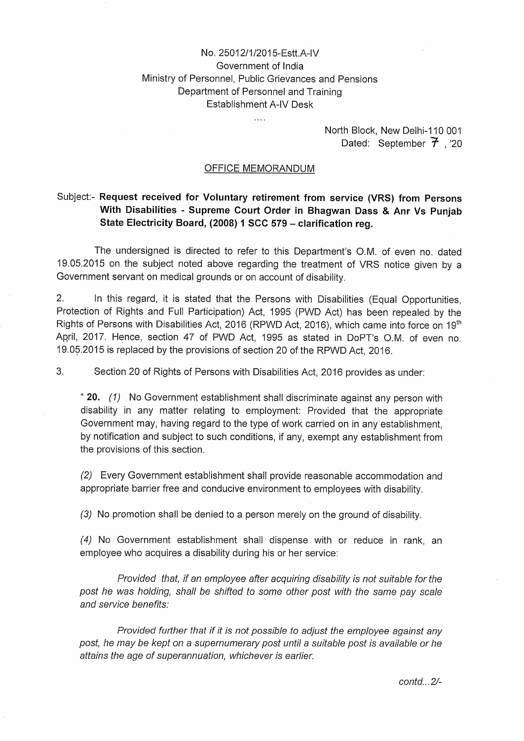## No. 25012/I/2015-Estt.A-IV Government of India Ministry of Personnel, Public Grievances and Pensions Department of Personnel and Training Establishment A-IV Desk

 $\ddotsc$ 

North Block, New Delhi-I 10 001 Dated: September  $\vec{\tau}$  , '20

## OFFICE MEMORANDUM

## Subject:- **Request received for Voluntary retirement from service (VRS) from Persons With Disabilities** - **Supreme Court Order in Bhagwan Dass** & **Anr Vs Punjab State Electricity Board, (2008) 1 SCC 579** — **clarification reg.**

The undersigned is directed to refer to this Department's O.M. of even no. dated 19.05.2015 on the subject noted above regarding the treatment of VRS notice given by a Government servant on medical grounds or on account of disability.

2. In this regard, it is stated that the Persons with Disabilities (Equal Opportunities, Protection of Rights and Full Participation) Act, 1995 (PWD Act) has been repealed by the Rights of Persons with Disabilities Act, 2016 (RPWD Act, 2016), which came into force on 19<sup>th</sup> April, 2017. Hence, section 47 of PWD Act, 1995 as stated in DoPT's O.M. of even no. 19.05.2015 is replaced by the provisions of section 20 of the RPWD Act, 2016.

3. Section 20 of Rights of Persons with Disabilities Act, 2016 provides as under:

**"20.** (1) No Government establishment shall discriminate against any person with disability in any matter relating to employment: Provided that the appropriate Government may, having regard to the type of work carried on in any establishment, by notification and subject to such conditions, if any, exempt any establishment from the provisions of this section.

(2) Every Government establishment shall provide reasonable accommodation and appropriate barrier free and conducive environment to employees with disability.

(3) No promotion shall be denied to a person merely on the ground of disability.

(4) No Government establishment shall dispense with or reduce in rank, an employee who acquires a disability during his or her service:

Provided that, if an employee after acquiring disability is not suitable for the post he was holding, shall be shifted to some other post with the same pay scale and service benefits:

Provided further that if it is not possible to adjust the employee against any post, he may be kept on a supernumerary post until a suitable post is available or he attains the age of superannuation, whichever is earlier.

 $contd...2/$ -